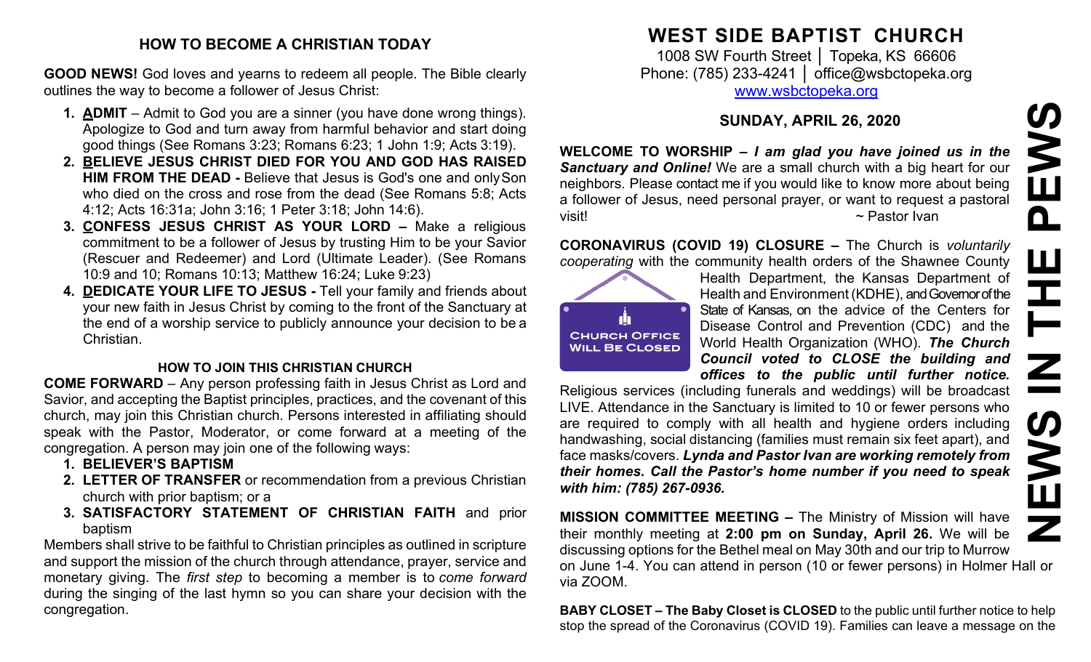### **HOW TO BECOME A CHRISTIAN TODAY**

**GOOD NEWS!** God loves and yearns to redeem all people. The Bible clearly outlines the way to become a follower of Jesus Christ:

- **1. ADMIT**  Admit to God you are a sinner (you have done wrong things). Apologize to God and turn away from harmful behavior and start doing good things (See Romans 3:23; Romans 6:23; 1 John 1:9; Acts 3:19).
- **2. BELIEVE JESUS CHRIST DIED FOR YOU AND GOD HAS RAISED HIM FROM THE DEAD -** Believe that Jesus is God's one and onlySon who died on the cross and rose from the dead (See Romans 5:8; Acts 4:12; Acts 16:31a; John 3:16; 1 Peter 3:18; John 14:6).
- **3. CONFESS JESUS CHRIST AS YOUR LORD –** Make a religious commitment to be a follower of Jesus by trusting Him to be your Savior (Rescuer and Redeemer) and Lord (Ultimate Leader). (See Romans 10:9 and 10; Romans 10:13; Matthew 16:24; Luke 9:23)
- **4. DEDICATE YOUR LIFE TO JESUS -** Tell your family and friends about your new faith in Jesus Christ by coming to the front of the Sanctuary at the end of a worship service to publicly announce your decision to be a Christian.

#### **HOW TO JOIN THIS CHRISTIAN CHURCH**

**COME FORWARD** – Any person professing faith in Jesus Christ as Lord and Savior, and accepting the Baptist principles, practices, and the covenant of this church, may join this Christian church. Persons interested in affiliating should speak with the Pastor, Moderator, or come forward at a meeting of the congregation. A person may join one of the following ways:

- **1. BELIEVER'S BAPTISM**
- **2. LETTER OF TRANSFER** or recommendation from a previous Christian church with prior baptism; or a
- **3. SATISFACTORY STATEMENT OF CHRISTIAN FAITH** and prior baptism

Members shall strive to be faithful to Christian principles as outlined in scripture and support the mission of the church through attendance, prayer, service and monetary giving. The *first step* to becoming a member is to *come forward*  during the singing of the last hymn so you can share your decision with the congregation.

# **WEST SIDE BAPTIST CHURCH**

1008 SW Fourth Street │ Topeka, KS 66606 Phone: (785) 233-4241 │ [office@wsbctopeka.org](mailto:office@wsbctopeka.org) [www.wsbctopeka.org](http://www.wsbctopeka.org/)

## **SUNDAY, APRIL 26, 2020**

**WELCOME TO WORSHIP –** *I am glad you have joined us in the Sanctuary and Online!* We are a small church with a big heart for our neighbors. Please contact me if you would like to know more about being a follower of Jesus, need personal prayer, or want to request a pastoral visit!  $\sim$  Pastor Ivan

**CORONAVIRUS (COVID 19) CLOSURE –** The Church is *voluntarily cooperating* with the community health orders of the Shawnee County



Health Department, the Kansas Department of Health and Environment (KDHE), and Governor of the State of Kansas, on the advice of the Centers for Disease Control and Prevention (CDC) and the World Health Organization (WHO). *The Church Council voted to CLOSE the building and offices to the public until further notice.*

Religious services (including funerals and weddings) will be broadcast LIVE. Attendance in the Sanctuary is limited to 10 or fewer persons who are required to comply with all health and hygiene orders including handwashing, social distancing (families must remain six feet apart), and face masks/covers. *Lynda and Pastor Ivan are working remotely from their homes. Call the Pastor's home number if you need to speak with him: (785) 267-0936.* SUNDAY, APRIL 26, 2020<br>
Sanctuary and Online! We are a small church is a big heart for our<br>
Sanctuary and Online! We are a small church with a big heart for our<br>
neighbors. Please contact me if you would like to know more

**MISSION COMMITTEE MEETING –** The Ministry of Mission will have their monthly meeting at **2:00 pm on Sunday, April 26.** We will be discussing options for the Bethel meal on May 30th and our trip to Murrow on June 1-4. You can attend in person (10 or fewer persons) in Holmer Hall or via ZOOM.

**BABY CLOSET – The Baby Closet is CLOSED** to the public until further notice to help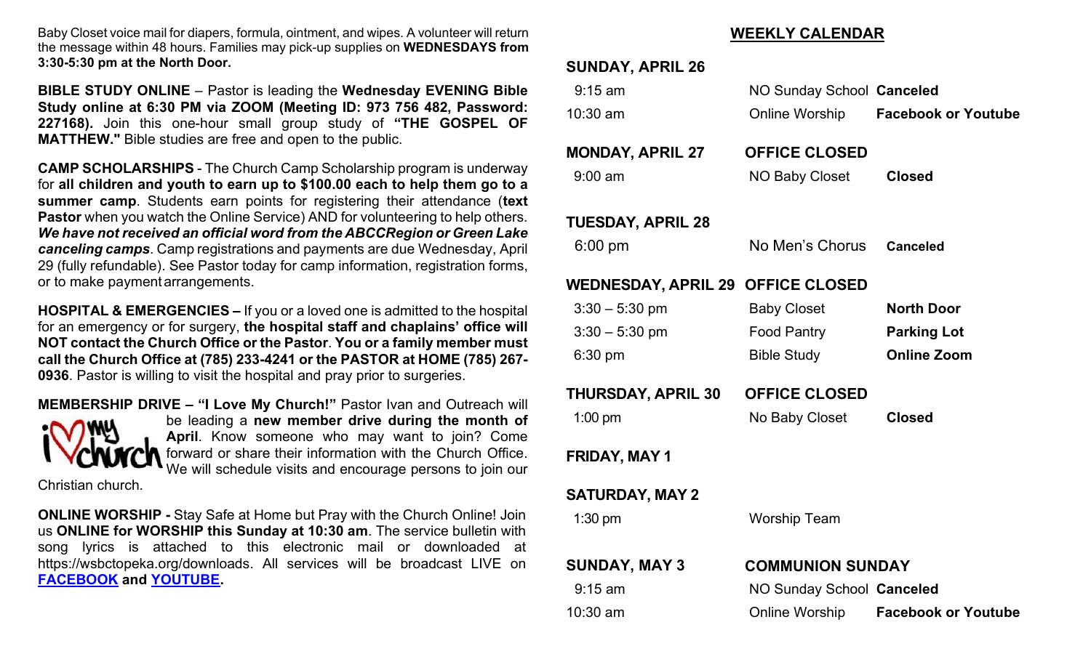Baby Closet voice mail for diapers, formula, ointment, and wipes. A volunteer will return the message within 48 hours. Families may pick-up supplies on **WEDNESDAYS from 3:30-5:30 pm at the North Door.**

**BIBLE STUDY ONLINE** – Pastor is leading the **Wednesday EVENING Bible Study online at 6:30 PM via ZOOM (Meeting ID: 973 756 482, Password: 227168).** Join this one-hour small group study of **"THE GOSPEL OF MATTHEW."** Bible studies are free and open to the public.

**CAMP SCHOLARSHIPS** - The Church Camp Scholarship program is underway for **all children and youth to earn up to \$100.00 each to help them go to a summer camp**. Students earn points for registering their attendance (**text Pastor** when you watch the Online Service) AND for volunteering to help others. *We have not received an official word from the ABCCRegion or Green Lake canceling camps*. Camp registrations and payments are due Wednesday, April 29 (fully refundable). See Pastor today for camp information, registration forms, or to make paymentarrangements.

**HOSPITAL & EMERGENCIES –** If you or a loved one is admitted to the hospital for an emergency or for surgery, **the hospital staff and chaplains' office will NOT contact the Church Office or the Pastor**. **You or a family member must call the Church Office at (785) 233-4241 or the PASTOR at HOME (785) 267- 0936**. Pastor is willing to visit the hospital and pray prior to surgeries.

**MEMBERSHIP DRIVE – "I Love My Church!"** Pastor Ivan and Outreach will be leading a **new member drive during the month of**  OMY **April**. Know someone who may want to join? Come forward or share their information with the Church Office. We will schedule visits and encourage persons to join our

Christian church.

**ONLINE WORSHIP -** Stay Safe at Home but Pray with the Church Online! Join us **ONLINE for WORSHIP this Sunday at 10:30 am**. The service bulletin with song lyrics is attached to this electronic mail or downloaded at https://wsbctopeka.org/downloads. All services will be broadcast LIVE on **[FACEBOOK](https://www.facebook.com/wsbctopeka) and [YOUTUBE.](http://www.youtube.com/channel/UCbIF8rvtPVFk2iJWJMCQHKw)** 

#### **WEEKLY CALENDAR**

| <b>SUNDAY, APRIL 26</b>                  |                           |                                    |  |  |
|------------------------------------------|---------------------------|------------------------------------|--|--|
| $9:15$ am                                | NO Sunday School Canceled |                                    |  |  |
| 10:30 am                                 |                           | Online Worship Facebook or Youtube |  |  |
| <b>MONDAY, APRIL 27</b>                  | <b>OFFICE CLOSED</b>      |                                    |  |  |
| $9:00$ am                                | NO Baby Closet            | <b>Closed</b>                      |  |  |
| <b>TUESDAY, APRIL 28</b>                 |                           |                                    |  |  |
| $6:00$ pm                                | No Men's Chorus Canceled  |                                    |  |  |
| <b>WEDNESDAY, APRIL 29 OFFICE CLOSED</b> |                           |                                    |  |  |
| $3:30 - 5:30$ pm                         | <b>Baby Closet</b>        | <b>North Door</b>                  |  |  |
| $3:30 - 5:30$ pm                         | Food Pantry               | <b>Parking Lot</b>                 |  |  |
| $6:30$ pm                                | <b>Bible Study</b>        | <b>Online Zoom</b>                 |  |  |
| THURSDAY, APRIL 30                       | <b>OFFICE CLOSED</b>      |                                    |  |  |
| $1:00$ pm                                | No Baby Closet            | <b>Closed</b>                      |  |  |
| FRIDAY, MAY 1                            |                           |                                    |  |  |
| <b>SATURDAY, MAY 2</b>                   |                           |                                    |  |  |
| $1:30$ pm                                | <b>Worship Team</b>       |                                    |  |  |
| <b>SUNDAY, MAY 3</b>                     | <b>COMMUNION SUNDAY</b>   |                                    |  |  |
| $9:15$ am                                | NO Sunday School Canceled |                                    |  |  |
| 10:30 am                                 | Online Worship            | <b>Facebook or Youtube</b>         |  |  |